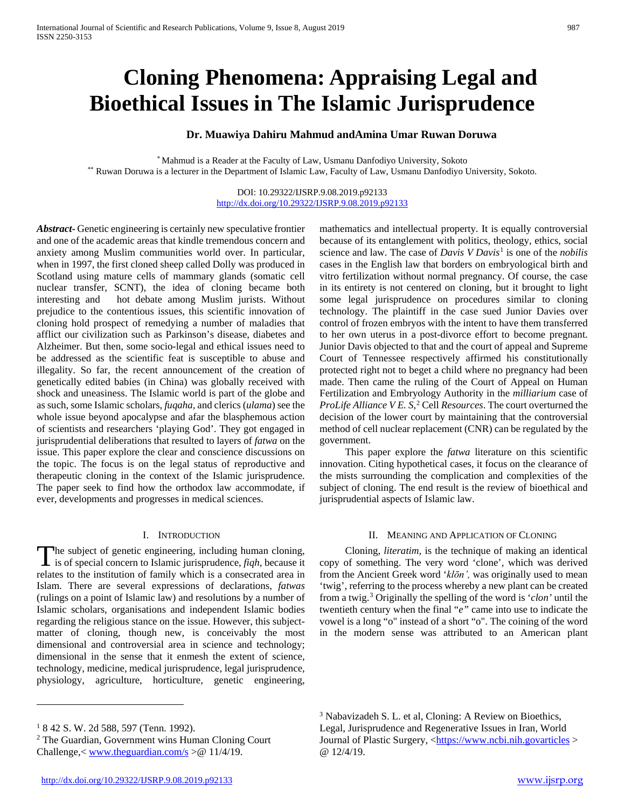# **Cloning Phenomena: Appraising Legal and Bioethical Issues in The Islamic Jurisprudence**

# **Dr. Muawiya Dahiru Mahmud andAmina Umar Ruwan Doruwa**

\* Mahmud is a Reader at the Faculty of Law, Usmanu Danfodiyo University, Sokoto \*\* Ruwan Doruwa is a lecturer in the Department of Islamic Law, Faculty of Law, Usmanu Danfodiyo University, Sokoto.

## DOI: 10.29322/IJSRP.9.08.2019.p92133 <http://dx.doi.org/10.29322/IJSRP.9.08.2019.p92133>

*Abstract***-** Genetic engineering is certainly new speculative frontier and one of the academic areas that kindle tremendous concern and anxiety among Muslim communities world over. In particular, when in 1997, the first cloned sheep called Dolly was produced in Scotland using mature cells of mammary glands (somatic cell nuclear transfer, SCNT), the idea of cloning became both interesting and hot debate among Muslim jurists. Without prejudice to the contentious issues, this scientific innovation of cloning hold prospect of remedying a number of maladies that afflict our civilization such as Parkinson's disease, diabetes and Alzheimer. But then, some socio-legal and ethical issues need to be addressed as the scientific feat is susceptible to abuse and illegality. So far, the recent announcement of the creation of genetically edited babies (in China) was globally received with shock and uneasiness. The Islamic world is part of the globe and as such, some Islamic scholars, *fuqaha,* and clerics (*ulama*) see the whole issue beyond apocalypse and afar the blasphemous action of scientists and researchers 'playing God'. They got engaged in jurisprudential deliberations that resulted to layers of *fatwa* on the issue. This paper explore the clear and conscience discussions on the topic. The focus is on the legal status of reproductive and therapeutic cloning in the context of the Islamic jurisprudence. The paper seek to find how the orthodox law accommodate, if ever, developments and progresses in medical sciences.

## I. INTRODUCTION

The subject of genetic engineering, including human cloning, The subject of genetic engineering, including human cloning,<br>is of special concern to Islamic jurisprudence, *fiqh*, because it relates to the institution of family which is a consecrated area in Islam. There are several expressions of declarations, *fatwas* (rulings on a point of Islamic law) and resolutions by a number of Islamic scholars, organisations and independent Islamic bodies regarding the religious stance on the issue. However, this subjectmatter of cloning, though new, is conceivably the most dimensional and controversial area in science and technology; dimensional in the sense that it enmesh the extent of science, technology, medicine, medical jurisprudence, legal jurisprudence, physiology, agriculture, horticulture, genetic engineering,

mathematics and intellectual property. It is equally controversial because of its entanglement with politics, theology, ethics, social science and law. The case of *Davis V Davis*<sup>[1](#page-0-0)</sup> is one of the *nobilis* cases in the English law that borders on embryological birth and vitro fertilization without normal pregnancy. Of course, the case in its entirety is not centered on cloning, but it brought to light some legal jurisprudence on procedures similar to cloning technology. The plaintiff in the case sued Junior Davies over control of frozen embryos with the intent to have them transferred to her own uterus in a post-divorce effort to become pregnant. Junior Davis objected to that and the court of appeal and Supreme Court of Tennessee respectively affirmed his constitutionally protected right not to beget a child where no pregnancy had been made. Then came the ruling of the Court of Appeal on Human Fertilization and Embryology Authority in the *milliarium* case of *ProLife Alliance V E. S*, [2](#page-0-1) Cell *Resources*. The court overturned the decision of the lower court by maintaining that the controversial method of cell nuclear replacement (CNR) can be regulated by the government.

 This paper explore the *fatwa* literature on this scientific innovation. Citing hypothetical cases, it focus on the clearance of the mists surrounding the complication and complexities of the subject of cloning. The end result is the review of bioethical and jurisprudential aspects of Islamic law.

## II. MEANING AND APPLICATION OF CLONING

 Cloning, *literatim,* is the technique of making an identical copy of something. The very word 'clone', which was derived from the Ancient Greek word '*klōn',* was originally used to mean 'twig', referring to the process whereby a new plant can be created from a twig[.3](#page-0-2) Originally the spelling of the word is '*clon'* until the twentieth century when the final "*e"* came into use to indicate the vowel is a long "o" instead of a short "o". The coining of the word in the modern sense was attributed to an American plant

 $\overline{a}$ 

<span id="page-0-2"></span><span id="page-0-0"></span><sup>&</sup>lt;sup>1</sup> 8 42 S. W. 2d 588, 597 (Tenn. 1992).

<span id="page-0-1"></span><sup>2</sup> The Guardian, Government wins Human Cloning Court Challenge,  $\langle$  [www.theguardian.com/s](http://www.theguardian.com/s)  $>$  @ 11/4/19.

<sup>3</sup> Nabavizadeh S. L. et al, Cloning: A Review on Bioethics, Legal, Jurisprudence and Regenerative Issues in Iran, World Journal of Plastic Surgery, [<https://www.ncbi.nih.govarticles](https://www.ncbi.nih.govarticles/) > @ 12/4/19.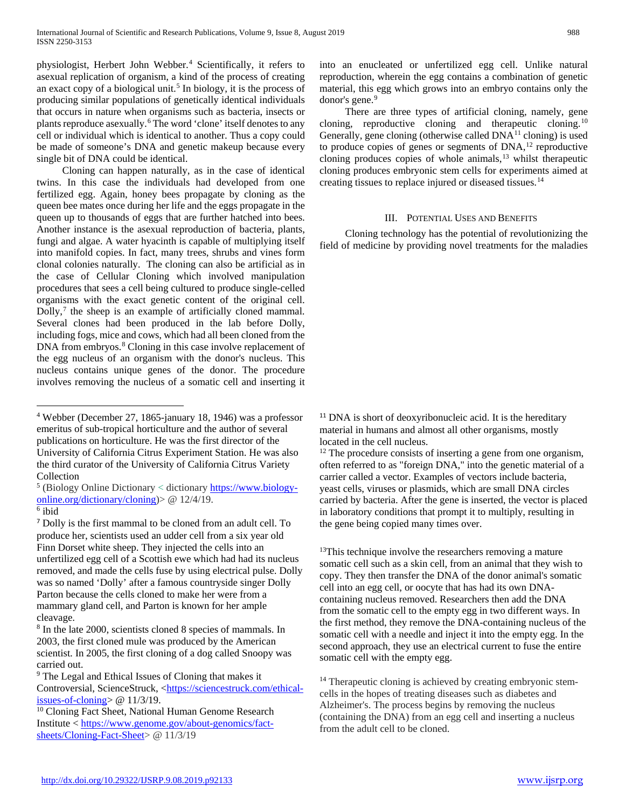physiologist, Herbert John Webber.[4](#page-1-0) Scientifically, it refers to asexual replication of organism, a kind of the process of creating an exact copy of a biological unit.<sup>[5](#page-1-1)</sup> In biology, it is the process of producing similar populations of genetically identical individuals that occurs in nature when organisms such as bacteria, insects or plants reproduce asexually.[6](#page-1-2) The word 'clone' itself denotes to any cell or individual which is identical to another. Thus a copy could be made of someone's DNA and genetic makeup because every single bit of DNA could be identical.

 Cloning can happen naturally, as in the case of identical twins. In this case the individuals had developed from one fertilized egg. Again, honey bees propagate by cloning as the queen bee mates once during her life and the eggs propagate in the queen up to thousands of eggs that are further hatched into bees. Another instance is the asexual reproduction of bacteria, plants, fungi and algae. A water hyacinth is capable of multiplying itself into manifold copies. In fact, many trees, shrubs and vines form clonal colonies naturally. The cloning can also be artificial as in the case of Cellular Cloning which involved manipulation procedures that sees a cell being cultured to produce single-celled organisms with the exact genetic content of the original cell. Dolly,<sup>[7](#page-1-3)</sup> the sheep is an example of artificially cloned mammal. Several clones had been produced in the lab before Dolly, including fogs, mice and cows, which had all been cloned from the DNA from embryos.<sup>[8](#page-1-4)</sup> Cloning in this case involve replacement of the egg nucleus of an organism with the donor's nucleus. This nucleus contains unique genes of the donor. The procedure involves removing the nucleus of a somatic cell and inserting it

Controversial, ScienceStruck, [<https://sciencestruck.com/ethical](https://sciencestruck.com/ethical-issues-of-cloning)[issues-of-cloning>](https://sciencestruck.com/ethical-issues-of-cloning) @ 11/3/19.

<span id="page-1-6"></span><sup>10</sup> Cloning Fact Sheet, National Human Genome Research Institute < [https://www.genome.gov/about-genomics/fact](https://www.genome.gov/about-genomics/fact-sheets/Cloning-Fact-Sheet)[sheets/Cloning-Fact-Sheet>](https://www.genome.gov/about-genomics/fact-sheets/Cloning-Fact-Sheet) @ 11/3/19

into an enucleated or unfertilized egg cell. Unlike natural reproduction, wherein the egg contains a combination of genetic material, this egg which grows into an embryo contains only the donor's gene.<sup>[9](#page-1-5)</sup>

 There are three types of artificial cloning, namely, gene cloning, reproductive cloning and therapeutic cloning.[10](#page-1-6) Generally, gene cloning (otherwise called DNA<sup>[11](#page-1-0)</sup> cloning) is used to produce copies of genes or segments of DNA,[12](#page-1-7) reproductive cloning produces copies of whole animals,<sup>[13](#page-1-8)</sup> whilst therapeutic cloning produces embryonic stem cells for experiments aimed at creating tissues to replace injured or diseased tissues.[14](#page-1-9)

# III. POTENTIAL USES AND BENEFITS

 Cloning technology has the potential of revolutionizing the field of medicine by providing novel treatments for the maladies

<sup>11</sup> DNA is short of deoxyribonucleic acid. It is the hereditary material in humans and almost all other organisms, mostly located in the cell nucleus.

<sup>12</sup> The procedure consists of inserting a gene from one organism, often referred to as "foreign DNA," into the genetic material of a carrier called a vector. Examples of vectors include bacteria, yeast cells, viruses or plasmids, which are small DNA circles carried by bacteria. After the gene is inserted, the vector is placed in laboratory conditions that prompt it to multiply, resulting in the gene being copied many times over.

<sup>13</sup>This technique involve the researchers removing a mature somatic cell such as a skin cell, from an animal that they wish to copy. They then transfer the DNA of the donor animal's somatic cell into an egg cell, or oocyte that has had its own DNAcontaining nucleus removed. Researchers then add the DNA from the somatic cell to the empty egg in two different ways. In the first method, they remove the DNA-containing nucleus of the somatic cell with a needle and inject it into the empty egg. In the second approach, they use an electrical current to fuse the entire somatic cell with the empty egg.

<sup>14</sup> Therapeutic cloning is achieved by creating embryonic stemcells in the hopes of treating diseases such as diabetes and Alzheimer's. The process begins by removing the nucleus (containing the DNA) from an egg cell and inserting a nucleus from the adult cell to be cloned.

<span id="page-1-7"></span><span id="page-1-0"></span> <sup>4</sup> Webber (December 27, 1865-january 18, 1946) was a professor emeritus of sub-tropical horticulture and the author of several publications on horticulture. He was the first director of the University of California Citrus Experiment Station. He was also the third curator of the University of California Citrus Variety Collection

<span id="page-1-1"></span><sup>5</sup> (Biology Online Dictionary < dictionary [https://www.biology](https://www.biology-online.org/dictionary/cloning)[online.org/dictionary/cloning\)](https://www.biology-online.org/dictionary/cloning)> @ 12/4/19.  $^6$ ibid

<span id="page-1-8"></span><span id="page-1-3"></span><span id="page-1-2"></span><sup>7</sup> Dolly is the first mammal to be cloned from an adult cell. To produce her, scientists used an udder cell from a six year old Finn Dorset white sheep. They injected the cells into an unfertilized egg cell of a Scottish ewe which had had its nucleus removed, and made the cells fuse by using electrical pulse. Dolly was so named 'Dolly' after a famous countryside singer Dolly Parton because the cells cloned to make her were from a mammary gland cell, and Parton is known for her ample cleavage.

<span id="page-1-4"></span><sup>8</sup> In the late 2000, scientists cloned 8 species of mammals. In 2003, the first cloned mule was produced by the American scientist. In 2005, the first cloning of a dog called Snoopy was carried out.

<span id="page-1-9"></span><span id="page-1-5"></span><sup>&</sup>lt;sup>9</sup> The Legal and Ethical Issues of Cloning that makes it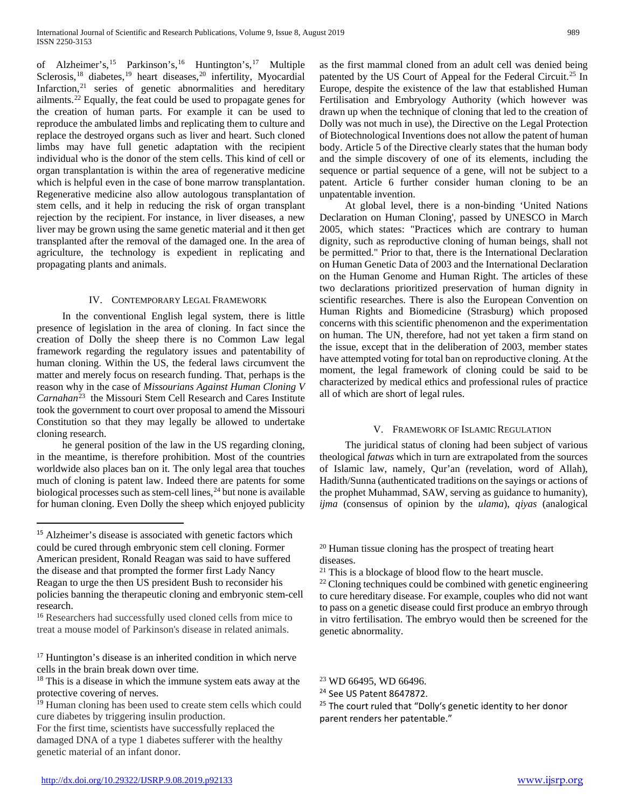of Alzheimer's,[15](#page-2-0) Parkinson's,[16](#page-2-1) Huntington's,[17](#page-2-2) Multiple Sclerosis,<sup>[18](#page-2-3)</sup> diabetes,<sup>[19](#page-2-4)</sup> heart diseases,<sup>[20](#page-2-5)</sup> infertility, Myocardial Infarction,<sup>[21](#page-2-6)</sup> series of genetic abnormalities and hereditary ailments.<sup>[22](#page-2-7)</sup> Equally, the feat could be used to propagate genes for the creation of human parts. For example it can be used to reproduce the ambulated limbs and replicating them to culture and replace the destroyed organs such as liver and heart. Such cloned limbs may have full genetic adaptation with the recipient individual who is the donor of the stem cells. This kind of cell or organ transplantation is within the area of regenerative medicine which is helpful even in the case of bone marrow transplantation. Regenerative medicine also allow autologous transplantation of stem cells, and it help in reducing the risk of organ transplant rejection by the recipient. For instance, in liver diseases, a new liver may be grown using the same genetic material and it then get transplanted after the removal of the damaged one. In the area of agriculture, the technology is expedient in replicating and propagating plants and animals.

## IV. CONTEMPORARY LEGAL FRAMEWORK

 In the conventional English legal system, there is little presence of legislation in the area of cloning. In fact since the creation of Dolly the sheep there is no Common Law legal framework regarding the regulatory issues and patentability of human cloning. Within the US, the federal laws circumvent the matter and merely focus on research funding. That, perhaps is the reason why in the case of *Missourians Against Human Cloning V*  Carnahan<sup>23</sup> the Missouri Stem Cell Research and Cares Institute took the government to court over proposal to amend the Missouri Constitution so that they may legally be allowed to undertake cloning research.

 he general position of the law in the US regarding cloning, in the meantime, is therefore prohibition. Most of the countries worldwide also places ban on it. The only legal area that touches much of cloning is patent law. Indeed there are patents for some biological processes such as stem-cell lines,  $^{24}$  $^{24}$  $^{24}$  but none is available for human cloning. Even Dolly the sheep which enjoyed publicity

 $\overline{a}$ 

<span id="page-2-2"></span><sup>17</sup> Huntington's disease is an inherited condition in which nerve cells in the brain break down over time.

<span id="page-2-9"></span><span id="page-2-8"></span><span id="page-2-3"></span><sup>18</sup> This is a disease in which the immune system eats away at the protective covering of nerves.

as the first mammal cloned from an adult cell was denied being patented by the US Court of Appeal for the Federal Circuit.<sup>[25](#page-2-10)</sup> In Europe, despite the existence of the law that established Human Fertilisation and Embryology Authority (which however was drawn up when the technique of cloning that led to the creation of Dolly was not much in use), the Directive on the Legal Protection of Biotechnological Inventions does not allow the patent of human body. Article 5 of the Directive clearly states that the human body and the simple discovery of one of its elements, including the sequence or partial sequence of a gene, will not be subject to a patent. Article 6 further consider human cloning to be an unpatentable invention.

 At global level, there is a non-binding 'United Nations Declaration on Human Cloning', passed by UNESCO in March 2005, which states: "Practices which are contrary to human dignity, such as reproductive cloning of human beings, shall not be permitted." Prior to that, there is the International Declaration on Human Genetic Data of 2003 and the International Declaration on the Human Genome and Human Right. The articles of these two declarations prioritized preservation of human dignity in scientific researches. There is also the European Convention on Human Rights and Biomedicine (Strasburg) which proposed concerns with this scientific phenomenon and the experimentation on human. The UN, therefore, had not yet taken a firm stand on the issue, except that in the deliberation of 2003, member states have attempted voting for total ban on reproductive cloning. At the moment, the legal framework of cloning could be said to be characterized by medical ethics and professional rules of practice all of which are short of legal rules.

#### V. FRAMEWORK OF ISLAMIC REGULATION

 The juridical status of cloning had been subject of various theological *fatwas* which in turn are extrapolated from the sources of Islamic law, namely, Qur'an (revelation, word of Allah), Hadith/Sunna (authenticated traditions on the sayings or actions of the prophet Muhammad, SAW, serving as guidance to humanity), *ijma* (consensus of opinion by the *ulama*), *qiyas* (analogical

<sup>20</sup> Human tissue cloning has the prospect of treating heart diseases**.**

 $22$  Cloning techniques could be combined with genetic engineering to cure hereditary disease. For example, couples who did not want to pass on a genetic disease could first produce an embryo through in vitro fertilisation. The embryo would then be screened for the genetic abnormality.

<span id="page-2-6"></span><span id="page-2-5"></span><span id="page-2-0"></span><sup>&</sup>lt;sup>15</sup> Alzheimer's disease is associated with genetic factors which could be cured through embryonic stem cell cloning. Former American president, Ronald Reagan was said to have suffered the disease and that prompted the former first Lady Nancy Reagan to urge the then US president Bush to reconsider his policies banning the therapeutic cloning and embryonic stem-cell research.

<span id="page-2-7"></span><span id="page-2-1"></span><sup>&</sup>lt;sup>16</sup> Researchers had successfully used cloned cells from mice to treat a mouse model of Parkinson's disease in related animals.

<span id="page-2-10"></span><span id="page-2-4"></span><sup>&</sup>lt;sup>19</sup> Human cloning has been used to create stem cells which could cure diabetes by triggering insulin production.

For the first time, scientists have successfully replaced the damaged DNA of a type 1 diabetes sufferer with the healthy genetic material of an infant donor.

<sup>21</sup> This is a blockage of blood flow to the heart muscle.

<sup>23</sup> WD 66495, WD 66496.

<sup>&</sup>lt;sup>24</sup> See US Patent 8647872.

<sup>&</sup>lt;sup>25</sup> The court ruled that "Dolly's genetic identity to her donor parent renders her patentable."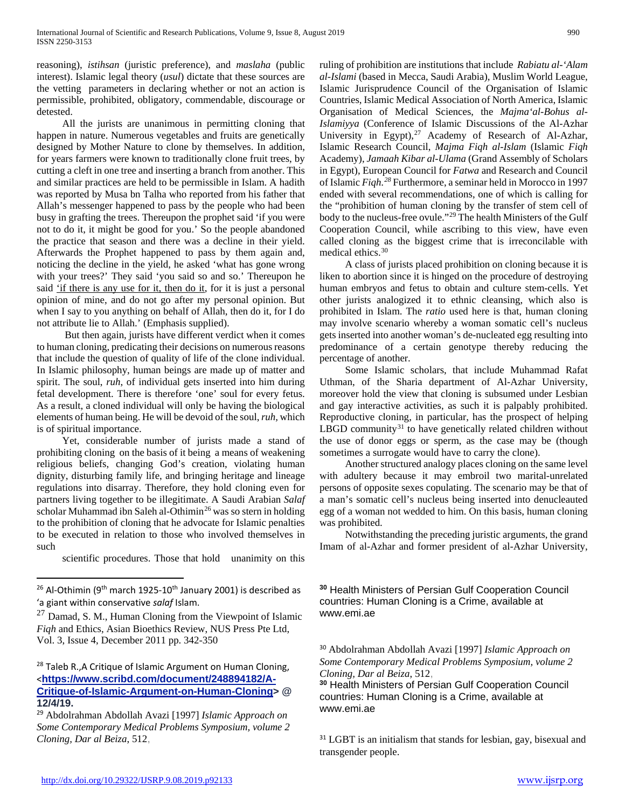reasoning), *istihsan* (juristic preference), and *maslaha* (public interest). Islamic legal theory (*usul*) dictate that these sources are the vetting parameters in declaring whether or not an action is permissible, prohibited, obligatory, commendable, discourage or detested.

 All the jurists are unanimous in permitting cloning that happen in nature. Numerous vegetables and fruits are genetically designed by Mother Nature to clone by themselves. In addition, for years farmers were known to traditionally clone fruit trees, by cutting a cleft in one tree and inserting a branch from another. This and similar practices are held to be permissible in Islam. A hadith was reported by Musa bn Talha who reported from his father that Allah's messenger happened to pass by the people who had been busy in grafting the trees. Thereupon the prophet said 'if you were not to do it, it might be good for you.' So the people abandoned the practice that season and there was a decline in their yield. Afterwards the Prophet happened to pass by them again and, noticing the decline in the yield, he asked 'what has gone wrong with your trees?' They said 'you said so and so.' Thereupon he said 'if there is any use for it, then do it, for it is just a personal opinion of mine, and do not go after my personal opinion. But when I say to you anything on behalf of Allah, then do it, for I do not attribute lie to Allah.' (Emphasis supplied).

 But then again, jurists have different verdict when it comes to human cloning, predicating their decisions on numerous reasons that include the question of quality of life of the clone individual. In Islamic philosophy, human beings are made up of matter and spirit. The soul, *ruh*, of individual gets inserted into him during fetal development. There is therefore 'one' soul for every fetus. As a result, a cloned individual will only be having the biological elements of human being. He will be devoid of the soul, *ruh,* which is of spiritual importance.

 Yet, considerable number of jurists made a stand of prohibiting cloning on the basis of it being a means of weakening religious beliefs, changing God's creation, violating human dignity, disturbing family life, and bringing heritage and lineage regulations into disarray. Therefore, they hold cloning even for partners living together to be illegitimate. A Saudi Arabian *Salaf* scholar Muhammad ibn Saleh al-Othimin<sup>[26](#page-3-0)</sup> was so stern in holding to the prohibition of cloning that he advocate for Islamic penalties to be executed in relation to those who involved themselves in such

scientific procedures. Those that hold unanimity on this

 $\overline{a}$ 

ruling of prohibition are institutions that include *Rabiatu al-'Alam al-Islami* (based in Mecca, Saudi Arabia), Muslim World League, Islamic Jurisprudence Council of the Organisation of Islamic Countries, Islamic Medical Association of North America, Islamic Organisation of Medical Sciences, the *Majma'al-Bohus al-Islamiyya* (Conference of Islamic Discussions of the Al-Azhar University in Egypt),<sup>[27](#page-3-1)</sup> Academy of Research of Al-Azhar, Islamic Research Council, *Majma Fiqh al*-*Islam* (Islamic *Fiqh* Academy), *Jamaah Kibar al-Ulama* (Grand Assembly of Scholars in Egypt), European Council for *Fatwa* and Research and Council of Islamic *Fiqh.[28](#page-3-2)* Furthermore, a seminar held in Morocco in 1997 ended with several recommendations, one of which is calling for the "prohibition of human cloning by the transfer of stem cell of body to the nucleus-free ovule."[29](#page-3-3) The health Ministers of the Gulf Cooperation Council, while ascribing to this view, have even called cloning as the biggest crime that is irreconcilable with medical ethics.[30](#page-3-0)

 A class of jurists placed prohibition on cloning because it is liken to abortion since it is hinged on the procedure of destroying human embryos and fetus to obtain and culture stem-cells. Yet other jurists analogized it to ethnic cleansing, which also is prohibited in Islam. The *ratio* used here is that, human cloning may involve scenario whereby a woman somatic cell's nucleus gets inserted into another woman's de-nucleated egg resulting into predominance of a certain genotype thereby reducing the percentage of another.

 Some Islamic scholars, that include Muhammad Rafat Uthman, of the Sharia department of Al-Azhar University, moreover hold the view that cloning is subsumed under Lesbian and gay interactive activities, as such it is palpably prohibited. Reproductive cloning, in particular, has the prospect of helping LBGD community<sup>[31](#page-3-4)</sup> to have genetically related children without the use of donor eggs or sperm, as the case may be (though sometimes a surrogate would have to carry the clone).

 Another structured analogy places cloning on the same level with adultery because it may embroil two marital-unrelated persons of opposite sexes copulating. The scenario may be that of a man's somatic cell's nucleus being inserted into denucleauted egg of a woman not wedded to him. On this basis, human cloning was prohibited.

 Notwithstanding the preceding juristic arguments, the grand Imam of al-Azhar and former president of al-Azhar University,

**<sup>30</sup>** Health Ministers of Persian Gulf Cooperation Council countries: Human Cloning is a Crime, available at www.emi.ae

<sup>30</sup> Abdolrahman Abdollah Avazi [1997] *Islamic Approach on Some Contemporary Medical Problems Symposium, volume 2 Cloning, Dar al Beiza*, 512,

**<sup>30</sup>** Health Ministers of Persian Gulf Cooperation Council countries: Human Cloning is a Crime, available at www.emi.ae

<sup>31</sup> LGBT is an initialism that stands for lesbian, gay, bisexual and transgender people.

<span id="page-3-0"></span> $26$  Al-Othimin (9<sup>th</sup> march 1925-10<sup>th</sup> January 2001) is described as 'a giant within conservative *salaf* Islam.

<span id="page-3-1"></span> $27$  Damad, S. M., Human Cloning from the Viewpoint of Islamic *Fiqh* and Ethics, Asian Bioethics Review, NUS Press Pte Ltd, Vol. 3, Issue 4, December 2011 pp. 342-350

<span id="page-3-2"></span><sup>&</sup>lt;sup>28</sup> Taleb R., A Critique of Islamic Argument on Human Cloning, <**[https://www.scribd.com/document/248894182/A-](https://www.scribd.com/document/248894182/A-Critique-of-Islamic-Argument-on-Human-Cloning)[Critique-of-Islamic-Argument-on-Human-Cloning>](https://www.scribd.com/document/248894182/A-Critique-of-Islamic-Argument-on-Human-Cloning) @ 12/4/19.**

<span id="page-3-4"></span><span id="page-3-3"></span><sup>29</sup> Abdolrahman Abdollah Avazi [1997] *Islamic Approach on Some Contemporary Medical Problems Symposium, volume 2 Cloning, Dar al Beiza*, 512,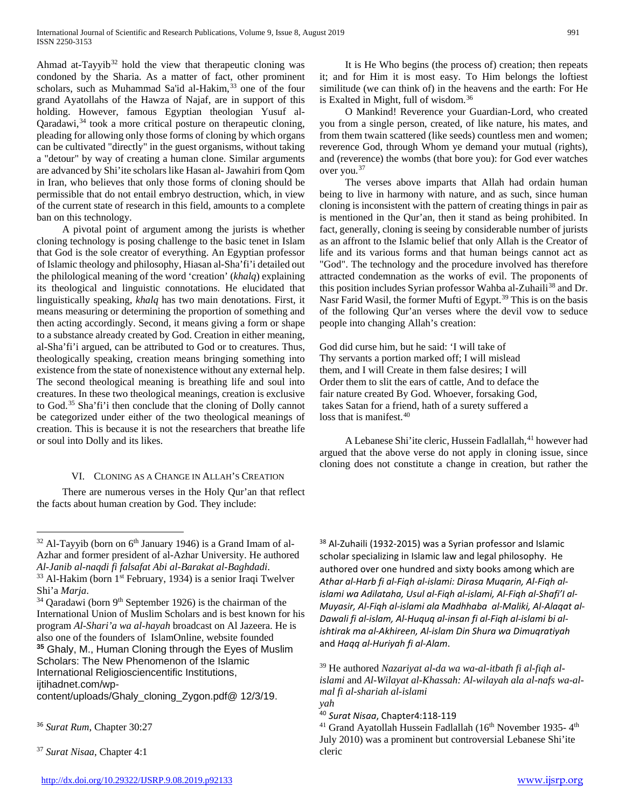Ahmad at-Tayyi $b^{32}$  $b^{32}$  $b^{32}$  hold the view that therapeutic cloning was condoned by the Sharia. As a matter of fact, other prominent scholars, such as Muhammad Sa'id al-Hakim,<sup>[33](#page-4-1)</sup> one of the four grand Ayatollahs of the Hawza of Najaf, are in support of this holding. However, famous Egyptian theologian Yusuf al-Qaradawi,<sup>[34](#page-4-2)</sup> took a more critical posture on therapeutic cloning, pleading for allowing only those forms of cloning by which organs can be cultivated "directly" in the guest organisms, without taking a "detour" by way of creating a human clone. Similar arguments are advanced by Shi'ite scholars like Hasan al- Jawahiri from Qom in Iran, who believes that only those forms of cloning should be permissible that do not entail embryo destruction, which, in view of the current state of research in this field, amounts to a complete ban on this technology.

 A pivotal point of argument among the jurists is whether cloning technology is posing challenge to the basic tenet in Islam that God is the sole creator of everything. An Egyptian professor of Islamic theology and philosophy, Hiasan al-Sha'fi'i detailed out the philological meaning of the word 'creation' (*khalq*) explaining its theological and linguistic connotations. He elucidated that linguistically speaking, *khalq* has two main denotations. First, it means measuring or determining the proportion of something and then acting accordingly. Second, it means giving a form or shape to a substance already created by God. Creation in either meaning, al-Sha'fi'i argued, can be attributed to God or to creatures. Thus, theologically speaking, creation means bringing something into existence from the state of nonexistence without any external help. The second theological meaning is breathing life and soul into creatures. In these two theological meanings, creation is exclusive to God.[35](#page-4-3) Sha'fi'i then conclude that the cloning of Dolly cannot be categorized under either of the two theological meanings of creation. This is because it is not the researchers that breathe life or soul into Dolly and its likes.

## VI. CLONING AS A CHANGE IN ALLAH'S CREATION

 There are numerous verses in the Holy Qur'an that reflect the facts about human creation by God. They include:

<span id="page-4-6"></span>content/uploads/Ghaly\_cloning\_Zygon.pdf@ 12/3/19.

 O Mankind! Reverence your Guardian-Lord, who created you from a single person, created, of like nature, his mates, and from them twain scattered (like seeds) countless men and women; reverence God, through Whom ye demand your mutual (rights), and (reverence) the wombs (that bore you): for God ever watches over you.[37](#page-4-5)

 The verses above imparts that Allah had ordain human being to live in harmony with nature, and as such, since human cloning is inconsistent with the pattern of creating things in pair as is mentioned in the Qur'an, then it stand as being prohibited. In fact, generally, cloning is seeing by considerable number of jurists as an affront to the Islamic belief that only Allah is the Creator of life and its various forms and that human beings cannot act as "God". The technology and the procedure involved has therefore attracted condemnation as the works of evil. The proponents of this position includes Syrian professor Wahba al-Zuhaili<sup>[38](#page-4-0)</sup> and Dr. Nasr Farid Wasil, the former Mufti of Egypt.<sup>[39](#page-4-6)</sup> This is on the basis of the following Qur'an verses where the devil vow to seduce people into changing Allah's creation:

God did curse him, but he said: 'I will take of Thy servants a portion marked off; I will mislead them, and I will Create in them false desires; I will Order them to slit the ears of cattle, And to deface the fair nature created By God. Whoever, forsaking God, takes Satan for a friend, hath of a surety suffered a loss that is manifest.<sup>[40](#page-4-7)</sup>

A Lebanese Shi'ite cleric, Hussein Fadlallah, <sup>[41](#page-4-8)</sup> however had argued that the above verse do not apply in cloning issue, since cloning does not constitute a change in creation, but rather the

<sup>38</sup> Al-Zuhaili (1932-2015) was a Syrian professor and Islamic scholar specializing in Islamic law and legal philosophy. He authored over one hundred and sixty books among which are *Athar al-Harb fi al-Fiqh al-islami: Dirasa Muqarin, Al-Fiqh alislami wa Adilataha, Usul al-Fiqh al-islami, Al-Fiqh al-Shafi'I al-Muyasir, Al-Fiqh al-islami ala Madhhaba al-Maliki, Al-Alaqat al-Dawali fi al-islam, Al-Huquq al-insan fi al-Fiqh al-islami bi alishtirak ma al-Akhireen, Al-islam Din Shura wa Dimuqratiyah* and *Haqq al-Huriyah fi al-Alam*.

<span id="page-4-0"></span> $32$  Al-Tayyib (born on  $6<sup>th</sup>$  January 1946) is a Grand Imam of al-Azhar and former president of al-Azhar University. He authored *Al-Janib al-naqdi fi falsafat Abi al-Barakat al-Baghdadi*. <sup>33</sup> Al-Hakim (born 1<sup>st</sup> February, 1934) is a senior Iraqi Twelver Shi'a *Marja*.

<span id="page-4-3"></span><span id="page-4-2"></span><span id="page-4-1"></span> $34$  Qaradawi (born 9<sup>th</sup> September 1926) is the chairman of the International Union of Muslim Scholars and is best known for his program *Al-Shari'a wa al-hayah* broadcast on Al Jazeera. He is also one of the founders of IslamOnline, website founded **<sup>35</sup>** Ghaly, M., Human Cloning through the Eyes of Muslim Scholars: The New Phenomenon of the Islamic International Religiosciencentific Institutions, ijtihadnet.com/wp-

<span id="page-4-8"></span><span id="page-4-7"></span><span id="page-4-4"></span><sup>36</sup> *Surat Rum*, Chapter 30:27

<span id="page-4-5"></span><sup>37</sup> *Surat Nisaa*, Chapter 4:1

<sup>39</sup> He authored *Nazariyat al-da wa wa-al-itbath fi al-fiqh alislami* and *Al-Wilayat al-Khassah: Al-wilayah ala al-nafs wa-almal fi al-shariah al-islami yah*

<sup>40</sup> *Surat Nisaa*, Chapter4:118-119

<sup>&</sup>lt;sup>41</sup> Grand Ayatollah Hussein Fadlallah (16<sup>th</sup> November 1935-  $4<sup>th</sup>$ July 2010) was a prominent but controversial Lebanese Shi'ite cleric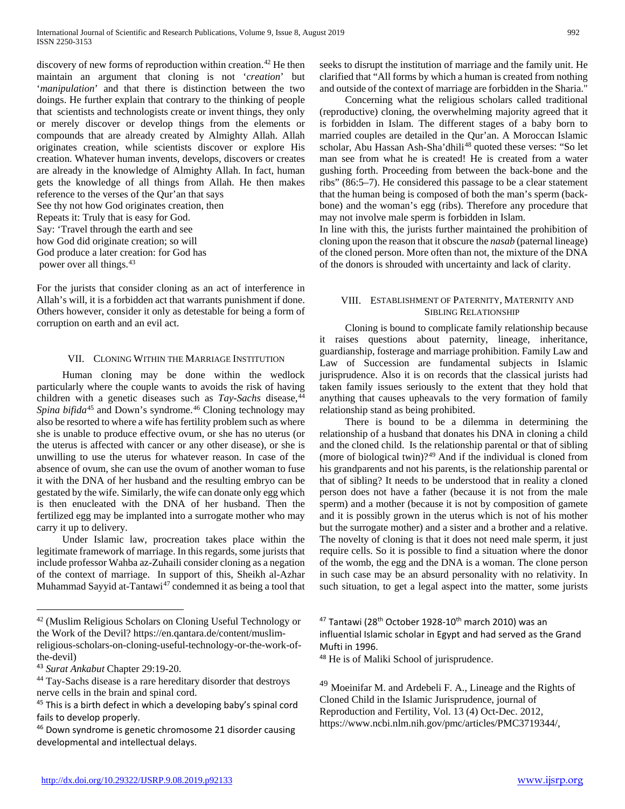discovery of new forms of reproduction within creation.<sup>[42](#page-5-0)</sup> He then maintain an argument that cloning is not '*creation*' but '*manipulation*' and that there is distinction between the two doings. He further explain that contrary to the thinking of people that scientists and technologists create or invent things, they only or merely discover or develop things from the elements or compounds that are already created by Almighty Allah. Allah originates creation, while scientists discover or explore His creation. Whatever human invents, develops, discovers or creates are already in the knowledge of Almighty Allah. In fact, human gets the knowledge of all things from Allah. He then makes reference to the verses of the Qur'an that says See thy not how God originates creation, then Repeats it: Truly that is easy for God. Say: 'Travel through the earth and see how God did originate creation; so will God produce a later creation: for God has

power over all things.[43](#page-5-1)

For the jurists that consider cloning as an act of interference in Allah's will, it is a forbidden act that warrants punishment if done. Others however, consider it only as detestable for being a form of corruption on earth and an evil act.

## VII. CLONING WITHIN THE MARRIAGE INSTITUTION

 Human cloning may be done within the wedlock particularly where the couple wants to avoids the risk of having children with a genetic diseases such as *Tay-Sachs* disease,<sup>[44](#page-5-2)</sup> Spina bifida<sup>[45](#page-5-3)</sup> and Down's syndrome.<sup>[46](#page-5-4)</sup> Cloning technology may also be resorted to where a wife has fertility problem such as where she is unable to produce effective ovum, or she has no uterus (or the uterus is affected with cancer or any other disease), or she is unwilling to use the uterus for whatever reason. In case of the absence of ovum, she can use the ovum of another woman to fuse it with the DNA of her husband and the resulting embryo can be gestated by the wife. Similarly, the wife can donate only egg which is then enucleated with the DNA of her husband. Then the fertilized egg may be implanted into a surrogate mother who may carry it up to delivery.

 Under Islamic law, procreation takes place within the legitimate framework of marriage. In this regards, some jurists that include professor Wahba az-Zuhaili consider cloning as a negation of the context of marriage. In support of this, Sheikh al-Azhar Muhammad Sayyid at-Tantawi $47$  condemned it as being a tool that seeks to disrupt the institution of marriage and the family unit. He clarified that "All forms by which a human is created from nothing and outside of the context of marriage are forbidden in the Sharia."

 Concerning what the religious scholars called traditional (reproductive) cloning, the overwhelming majority agreed that it is forbidden in Islam. The different stages of a baby born to married couples are detailed in the Qur'an. A Moroccan Islamic scholar, Abu Hassan Ash-Sha'dhili<sup>[48](#page-5-5)</sup> quoted these verses: "So let man see from what he is created! He is created from a water gushing forth. Proceeding from between the back-bone and the ribs" (86:5–7). He considered this passage to be a clear statement that the human being is composed of both the man's sperm (backbone) and the woman's egg (ribs). Therefore any procedure that may not involve male sperm is forbidden in Islam.

In line with this, the jurists further maintained the prohibition of cloning upon the reason that it obscure the *nasab* (paternal lineage) of the cloned person. More often than not, the mixture of the DNA of the donors is shrouded with uncertainty and lack of clarity.

# VIII. ESTABLISHMENT OF PATERNITY, MATERNITY AND SIBLING RELATIONSHIP

 Cloning is bound to complicate family relationship because it raises questions about paternity, lineage, inheritance, guardianship, fosterage and marriage prohibition. Family Law and Law of Succession are fundamental subjects in Islamic jurisprudence. Also it is on records that the classical jurists had taken family issues seriously to the extent that they hold that anything that causes upheavals to the very formation of family relationship stand as being prohibited.

 There is bound to be a dilemma in determining the relationship of a husband that donates his DNA in cloning a child and the cloned child. Is the relationship parental or that of sibling (more of biological twin)?[49](#page-5-6) And if the individual is cloned from his grandparents and not his parents, is the relationship parental or that of sibling? It needs to be understood that in reality a cloned person does not have a father (because it is not from the male sperm) and a mother (because it is not by composition of gamete and it is possibly grown in the uterus which is not of his mother but the surrogate mother) and a sister and a brother and a relative. The novelty of cloning is that it does not need male sperm, it just require cells. So it is possible to find a situation where the donor of the womb, the egg and the DNA is a woman. The clone person in such case may be an absurd personality with no relativity. In such situation, to get a legal aspect into the matter, some jurists

<span id="page-5-0"></span> <sup>42</sup> (Muslim Religious Scholars on Cloning Useful Technology or the Work of the Devil? https://en.qantara.de/content/muslim-

religious-scholars-on-cloning-useful-technology-or-the-work-ofthe-devil)

<span id="page-5-5"></span><span id="page-5-1"></span><sup>43</sup> *Surat Ankabut* Chapter 29:19-20.

<span id="page-5-6"></span><span id="page-5-2"></span><sup>&</sup>lt;sup>44</sup> Tay-Sachs disease is a rare hereditary disorder that destroys nerve cells in the brain and spinal cord.

<span id="page-5-3"></span><sup>&</sup>lt;sup>45</sup> This is a birth defect in which a developing baby's spinal cord fails to develop properly.

<span id="page-5-4"></span><sup>46</sup> Down syndrome is genetic chromosome 21 disorder causing developmental and intellectual delays.

 $47$  Tantawi (28<sup>th</sup> October 1928-10<sup>th</sup> march 2010) was an influential Islamic scholar in Egypt and had served as the Grand Mufti in 1996.

<sup>48</sup> He is of Maliki School of jurisprudence.

 $49$  Moeinifar M. and Ardebeli F. A., Lineage and the Rights of Cloned Child in the Islamic Jurisprudence, journal of Reproduction and Fertility, Vol. 13 (4) Oct-Dec. 2012, https://www.ncbi.nlm.nih.gov/pmc/articles/PMC3719344/,